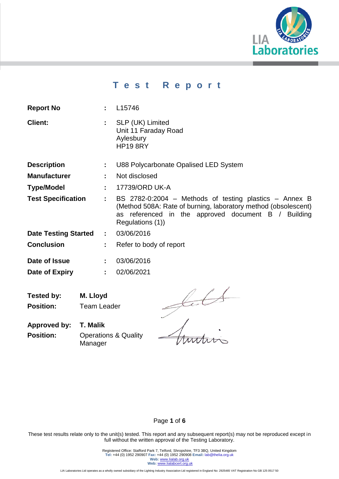

# **T e s t R e p o r t**

| <b>Report No</b>            | t.             | L15746                                                                                                                                                                                              |  |  |  |
|-----------------------------|----------------|-----------------------------------------------------------------------------------------------------------------------------------------------------------------------------------------------------|--|--|--|
| <b>Client:</b>              | ÷.             | SLP (UK) Limited<br>Unit 11 Faraday Road<br>Aylesbury<br><b>HP19 8RY</b>                                                                                                                            |  |  |  |
| <b>Description</b>          | ÷.             | U88 Polycarbonate Opalised LED System                                                                                                                                                               |  |  |  |
| <b>Manufacturer</b>         |                | Not disclosed                                                                                                                                                                                       |  |  |  |
| <b>Type/Model</b>           | ÷.             | 17739/ORD UK-A                                                                                                                                                                                      |  |  |  |
| <b>Test Specification</b>   | ÷.             | BS 2782-0:2004 - Methods of testing plastics - Annex B<br>(Method 508A: Rate of burning, laboratory method (obsolescent)<br>as referenced in the approved document B / Building<br>Regulations (1)) |  |  |  |
| <b>Date Testing Started</b> | $\mathbb{R}^n$ | 03/06/2016                                                                                                                                                                                          |  |  |  |
| <b>Conclusion</b>           | ÷              | Refer to body of report                                                                                                                                                                             |  |  |  |
| Date of Issue               | ÷              | 03/06/2016                                                                                                                                                                                          |  |  |  |
| Date of Expiry              | ÷.             | 02/06/2021                                                                                                                                                                                          |  |  |  |

**Tested by: M. Lloyd Position:** Team Leader

Sult

**Approved by: T. Malik Position: Operations & Quality** Manager

# Page **1** of **6**

These test results relate only to the unit(s) tested. This report and any subsequent report(s) may not be reproduced except in full without the written approval of the Testing Laboratory.

> Registered Office: Stafford Park 7, Telford, Shropshire, TF3 3BQ, United Kingdom **Tel:** +44 (0) 1952 290907 **Fax:** +44 (0) 1952 290908 **Email:** lab@thelia.org.uk **Web:** [www.lialab.org.uk](http://www.lialab.org.uk/) **Web:** www.lialabcert.org.uk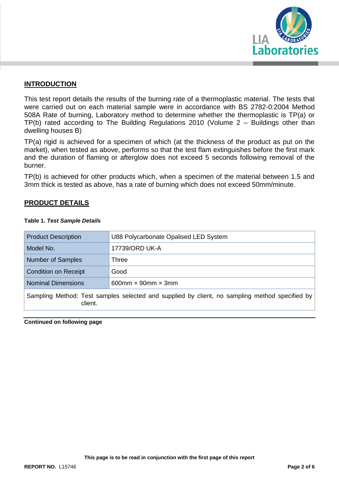

# **INTRODUCTION**

This test report details the results of the burning rate of a thermoplastic material. The tests that were carried out on each material sample were in accordance with BS 2782-0:2004 Method 508A Rate of burning, Laboratory method to determine whether the thermoplastic is TP(a) or TP(b) rated according to The Building Regulations 2010 (Volume 2 – Buildings other than dwelling houses B)

TP(a) rigid is achieved for a specimen of which (at the thickness of the product as put on the market), when tested as above, performs so that the test flam extinguishes before the first mark and the duration of flaming or afterglow does not exceed 5 seconds following removal of the burner.

TP(b) is achieved for other products which, when a specimen of the material between 1.5 and 3mm thick is tested as above, has a rate of burning which does not exceed 50mm/minute.

# **PRODUCT DETAILS**

| <b>Product Description</b>                                                                                | U88 Polycarbonate Opalised LED System |  |  |  |
|-----------------------------------------------------------------------------------------------------------|---------------------------------------|--|--|--|
| Model No.                                                                                                 | 17739/ORD UK-A                        |  |  |  |
| <b>Number of Samples</b>                                                                                  | Three                                 |  |  |  |
| <b>Condition on Receipt</b>                                                                               | Good                                  |  |  |  |
| <b>Nominal Dimensions</b>                                                                                 | 600mm $\times$ 90mm $\times$ 3mm      |  |  |  |
| Sampling Method: Test samples selected and supplied by client, no sampling method specified by<br>client. |                                       |  |  |  |

#### **Table 1.** *Test Sample Details*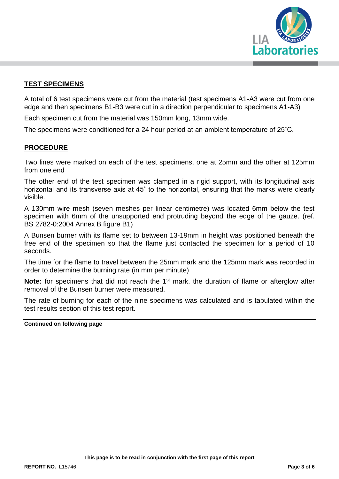

# **TEST SPECIMENS**

A total of 6 test specimens were cut from the material (test specimens A1-A3 were cut from one edge and then specimens B1-B3 were cut in a direction perpendicular to specimens A1-A3)

Each specimen cut from the material was 150mm long, 13mm wide.

The specimens were conditioned for a 24 hour period at an ambient temperature of 25˚C.

#### **PROCEDURE**

Two lines were marked on each of the test specimens, one at 25mm and the other at 125mm from one end

The other end of the test specimen was clamped in a rigid support, with its longitudinal axis horizontal and its transverse axis at 45˚ to the horizontal, ensuring that the marks were clearly visible.

A 130mm wire mesh (seven meshes per linear centimetre) was located 6mm below the test specimen with 6mm of the unsupported end protruding beyond the edge of the gauze. (ref. BS 2782-0:2004 Annex B figure B1)

A Bunsen burner with its flame set to between 13-19mm in height was positioned beneath the free end of the specimen so that the flame just contacted the specimen for a period of 10 seconds.

The time for the flame to travel between the 25mm mark and the 125mm mark was recorded in order to determine the burning rate (in mm per minute)

**Note:** for specimens that did not reach the 1<sup>st</sup> mark, the duration of flame or afterglow after removal of the Bunsen burner were measured.

The rate of burning for each of the nine specimens was calculated and is tabulated within the test results section of this test report.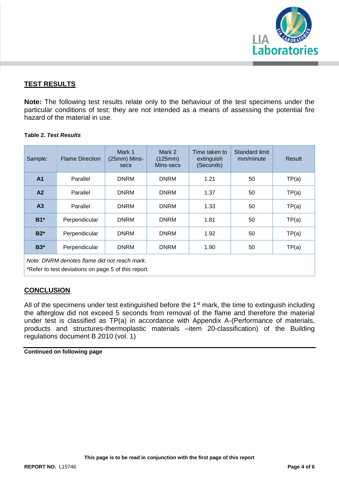

# **TEST RESULTS**

**Note:** The following test results relate only to the behaviour of the test specimens under the particular conditions of test; they are not intended as a means of assessing the potential fire hazard of the material in use.

#### **Table 2.** *Test Results*

| Sample:                                                                                              | <b>Flame Direction</b> | Mark 1<br>(25mm) Mins-<br>secs | Mark 2<br>(125mm)<br>Mins-secs | Time taken to<br>extinguish<br>(Seconds) | Standard limit<br>mm/minute | Result |  |  |  |  |
|------------------------------------------------------------------------------------------------------|------------------------|--------------------------------|--------------------------------|------------------------------------------|-----------------------------|--------|--|--|--|--|
| A <sub>1</sub>                                                                                       | Parallel               | <b>DNRM</b>                    | <b>DNRM</b>                    | 1.21                                     | 50                          | TP(a)  |  |  |  |  |
| A2                                                                                                   | Parallel               | <b>DNRM</b>                    | <b>DNRM</b>                    | 1.37                                     | 50                          | TP(a)  |  |  |  |  |
| A <sub>3</sub>                                                                                       | Parallel               | <b>DNRM</b>                    | <b>DNRM</b>                    | 1.33                                     | 50                          | TP(a)  |  |  |  |  |
| $B1*$                                                                                                | Perpendicular          | <b>DNRM</b>                    | <b>DNRM</b>                    | 1.81                                     | 50                          | TP(a)  |  |  |  |  |
| $B2*$                                                                                                | Perpendicular          | <b>DNRM</b>                    | <b>DNRM</b>                    | 1.92                                     | 50                          | TP(a)  |  |  |  |  |
| $B3*$                                                                                                | Perpendicular          | <b>DNRM</b>                    | <b>DNRM</b>                    | 1.90                                     | 50                          | TP(a)  |  |  |  |  |
| Note: DNRM denotes flame did not reach mark.<br>$*$ Dafaata taat dacdatkaan na anaan Finfilia aasaat |                        |                                |                                |                                          |                             |        |  |  |  |  |

Refer to test deviations on page 5 of this report.

# **CONCLUSION**

All of the specimens under test extinguished before the 1<sup>st</sup> mark, the time to extinguish including the afterglow did not exceed 5 seconds from removal of the flame and therefore the material under test is classified as TP(a) in accordance with Appendix A-(Performance of materials, products and structures-thermoplastic materials –item 20-classification) of the Building regulations document B 2010 (vol. 1)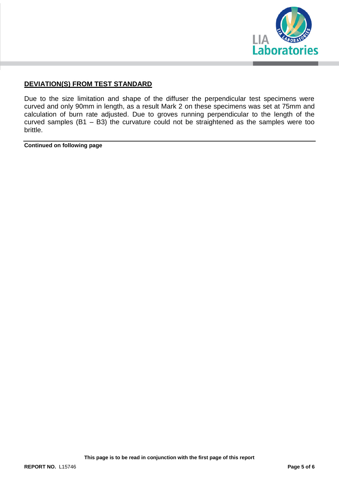

# **DEVIATION(S) FROM TEST STANDARD**

Due to the size limitation and shape of the diffuser the perpendicular test specimens were curved and only 90mm in length, as a result Mark 2 on these specimens was set at 75mm and calculation of burn rate adjusted. Due to groves running perpendicular to the length of the curved samples (B1 – B3) the curvature could not be straightened as the samples were too brittle.